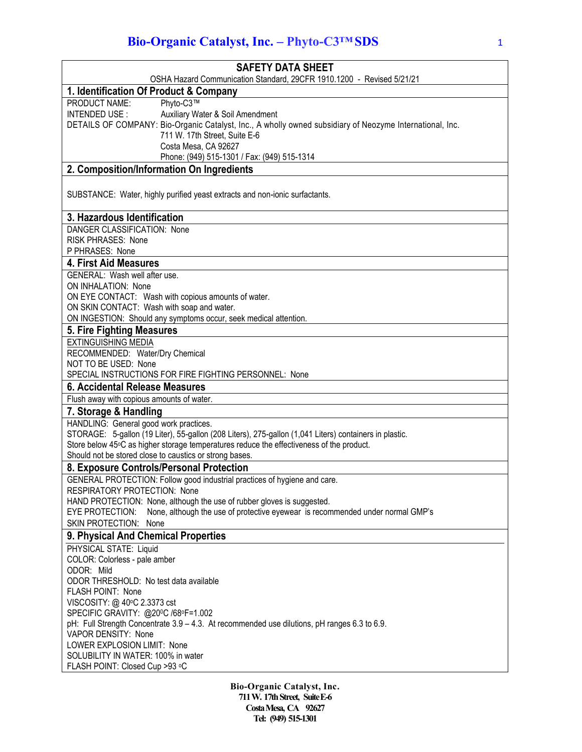## **Bio-Organic Catalyst, Inc. - Phyto-C3<sup>TM</sup> SDS** 1

| <b>SAFETY DATA SHEET</b>                                                                                                                                                                           |
|----------------------------------------------------------------------------------------------------------------------------------------------------------------------------------------------------|
| OSHA Hazard Communication Standard, 29CFR 1910.1200 - Revised 5/21/21                                                                                                                              |
| 1. Identification Of Product & Company<br>Phyto-C3™<br>PRODUCT NAME:                                                                                                                               |
| Auxiliary Water & Soil Amendment<br>INTENDED USE:                                                                                                                                                  |
| DETAILS OF COMPANY: Bio-Organic Catalyst, Inc., A wholly owned subsidiary of Neozyme International, Inc.                                                                                           |
| 711 W. 17th Street, Suite E-6                                                                                                                                                                      |
| Costa Mesa, CA 92627                                                                                                                                                                               |
| Phone: (949) 515-1301 / Fax: (949) 515-1314                                                                                                                                                        |
| 2. Composition/Information On Ingredients                                                                                                                                                          |
| SUBSTANCE: Water, highly purified yeast extracts and non-ionic surfactants.                                                                                                                        |
|                                                                                                                                                                                                    |
| 3. Hazardous Identification                                                                                                                                                                        |
| DANGER CLASSIFICATION: None                                                                                                                                                                        |
| <b>RISK PHRASES: None</b>                                                                                                                                                                          |
| P PHRASES: None                                                                                                                                                                                    |
| <b>4. First Aid Measures</b>                                                                                                                                                                       |
| GENERAL: Wash well after use.<br>ON INHALATION: None                                                                                                                                               |
| ON EYE CONTACT: Wash with copious amounts of water.                                                                                                                                                |
| ON SKIN CONTACT: Wash with soap and water.                                                                                                                                                         |
| ON INGESTION: Should any symptoms occur, seek medical attention.                                                                                                                                   |
| 5. Fire Fighting Measures                                                                                                                                                                          |
| <b>EXTINGUISHING MEDIA</b>                                                                                                                                                                         |
| RECOMMENDED: Water/Dry Chemical                                                                                                                                                                    |
| NOT TO BE USED: None                                                                                                                                                                               |
| SPECIAL INSTRUCTIONS FOR FIRE FIGHTING PERSONNEL: None                                                                                                                                             |
| 6. Accidental Release Measures                                                                                                                                                                     |
| Flush away with copious amounts of water.                                                                                                                                                          |
| 7. Storage & Handling                                                                                                                                                                              |
| HANDLING: General good work practices.                                                                                                                                                             |
| STORAGE: 5-gallon (19 Liter), 55-gallon (208 Liters), 275-gallon (1,041 Liters) containers in plastic.<br>Store below 45°C as higher storage temperatures reduce the effectiveness of the product. |
| Should not be stored close to caustics or strong bases.                                                                                                                                            |
| 8. Exposure Controls/Personal Protection                                                                                                                                                           |
| GENERAL PROTECTION: Follow good industrial practices of hygiene and care                                                                                                                           |
| <b>RESPIRATORY PROTECTION: None</b>                                                                                                                                                                |
| HAND PROTECTION: None, although the use of rubber gloves is suggested.                                                                                                                             |
| None, although the use of protective eyewear is recommended under normal GMP's<br>EYE PROTECTION:                                                                                                  |
| SKIN PROTECTION: None                                                                                                                                                                              |
| 9. Physical And Chemical Properties                                                                                                                                                                |
| PHYSICAL STATE: Liquid                                                                                                                                                                             |
| COLOR: Colorless - pale amber                                                                                                                                                                      |
| ODOR: Mild                                                                                                                                                                                         |
| ODOR THRESHOLD: No test data available<br>FLASH POINT: None                                                                                                                                        |
| VISCOSITY: @ 40°C 2.3373 cst                                                                                                                                                                       |
| SPECIFIC GRAVITY: @20ºC /68ºF=1.002                                                                                                                                                                |
| pH: Full Strength Concentrate 3.9 - 4.3. At recommended use dilutions, pH ranges 6.3 to 6.9.                                                                                                       |
| VAPOR DENSITY: None                                                                                                                                                                                |
| LOWER EXPLOSION LIMIT: None                                                                                                                                                                        |
| SOLUBILITY IN WATER: 100% in water                                                                                                                                                                 |
| FLASH POINT: Closed Cup >93 °C                                                                                                                                                                     |
|                                                                                                                                                                                                    |

**Bio-Organic Catalyst, Inc. 711 W. 17th Street, SuiteE-6 CostaMesa, CA 92627 Tel: (949) 515-1301**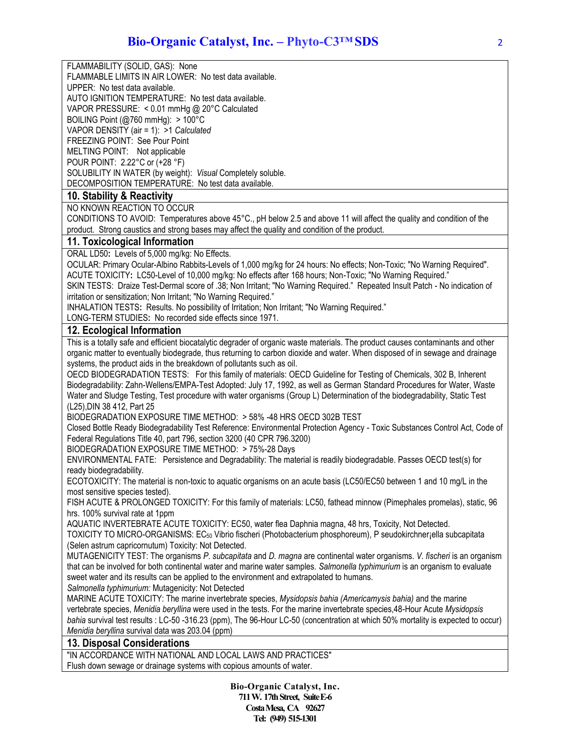FLAMMABILITY (SOLID, GAS): None FLAMMABLE LIMITS IN AIR LOWER: No test data available. UPPER: No test data available. AUTO IGNITION TEMPERATURE: No test data available. VAPOR PRESSURE: < 0.01 mmHg @ 20°C Calculated BOILING Point (@760 mmHg): > 100°C VAPOR DENSITY (air = 1): >1 *Calculated* FREEZING POINT: See Pour Point MELTING POINT: Not applicable POUR POINT: 2.22°C or (+28 °F) SOLUBILITY IN WATER (by weight): *Visual* Completely soluble. DECOMPOSITION TEMPERATURE: No test data available. **10. Stability & Reactivity** NO KNOWN REACTION TO OCCUR CONDITIONS TO AVOID: Temperatures above 45°C., pH below 2.5 and above 11 will affect the quality and condition of the product. Strong caustics and strong bases may affect the quality and condition of the product. **11. Toxicological Information** ORAL LD50**:** Levels of 5,000 mg/kg: No Effects. OCULAR: Primary Ocular-Albino Rabbits-Levels of 1,000 mg/kg for 24 hours: No effects; Non-Toxic; "No Warning Required". ACUTE TOXICITY: LC50-Level of 10,000 mg/kg: No effects after 168 hours; Non-Toxic; "No Warning Required." SKIN TESTS: Draize Test-Dermal score of .38; Non Irritant; "No Warning Required." Repeated Insult Patch - No indication of irritation or sensitization; Non Irritant; "No Warning Required." INHALATION TESTS: Results. No possibility of Irritation; Non Irritant; "No Warning Required." LONG-TERM STUDIES**:** No recorded side effects since 1971. **12. Ecological Information** This is a totally safe and efficient biocatalytic degrader of organic waste materials. The product causes contaminants and other organic matter to eventually biodegrade, thus returning to carbon dioxide and water. When disposed of in sewage and drainage systems, the product aids in the breakdown of pollutants such as oil. OECD BIODEGRADATION TESTS: For this family of materials: OECD Guideline for Testing of Chemicals, 302 B, Inherent Biodegradability: Zahn-Wellens/EMPA-Test Adopted: July 17, 1992, as well as German Standard Procedures for Water, Waste Water and Sludge Testing, Test procedure with water organisms (Group L) Determination of the biodegradability, Static Test (L25),DIN 38 412, Part 25 BIODEGRADATION EXPOSURE TIME METHOD: > 58% -48 HRS OECD 302B TEST Closed Bottle Ready Biodegradability Test Reference: Environmental Protection Agency - Toxic Substances Control Act, Code of Federal Regulations Title 40, part 796, section 3200 (40 CPR 796.3200) BIODEGRADATION EXPOSURE TIME METHOD: > 75%-28 Days ENVIRONMENTAL FATE: Persistence and Degradability: The material is readily biodegradable. Passes OECD test(s) for ready biodegradability. ECOTOXICITY: The material is non-toxic to aquatic organisms on an acute basis (LC50/EC50 between 1 and 10 mg/L in the most sensitive species tested). FISH ACUTE & PROLONGED TOXICITY: For this family of materials: LC50, fathead minnow (Pimephales promelas), static, 96 hrs. 100% survival rate at 1ppm AQUATIC INVERTEBRATE ACUTE TOXICITY: EC50, water flea Daphnia magna, 48 hrs, Toxicity, Not Detected. TOXICITY TO MICRO-ORGANISMS: EC50 Vibrio fischeri (Photobacterium phosphoreum), P seudokirchner¡ella subcapitata (Selen astrum capricornutum) Toxicity: Not Detected. MUTAGENICITY TEST: The organisms *P. subcapitata* and *D. magna* are continental water organisms. *V. fischeri* is an organism that can be involved for both continental water and marine water samples. *Salmonella typhimurium* is an organism to evaluate sweet water and its results can be applied to the environment and extrapolated to humans. *Salmonella typhimurium:* Mutagenicity: Not Detected MARINE ACUTE TOXICITY: The marine invertebrate species, *Mysidopsis bahia (Americamysis bahia)* and the marine vertebrate species, *Menidia beryllina* were used in the tests. For the marine invertebrate species,48-Hour Acute *Mysidopsis bahia* survival test results : LC-50 -316.23 (ppm), The 96-Hour LC-50 (concentration at which 50% mortality is expected to occur) *Menidia beryllina* survival data was 203.04 (ppm) **13. Disposal Considerations** "IN ACCORDANCE WITH NATIONAL AND LOCAL LAWS AND PRACTICES"

Flush down sewage or drainage systems with copious amounts of water.

**Bio-Organic Catalyst, Inc. 711 W. 17th Street, SuiteE-6 CostaMesa, CA 92627 Tel: (949) 515-1301**